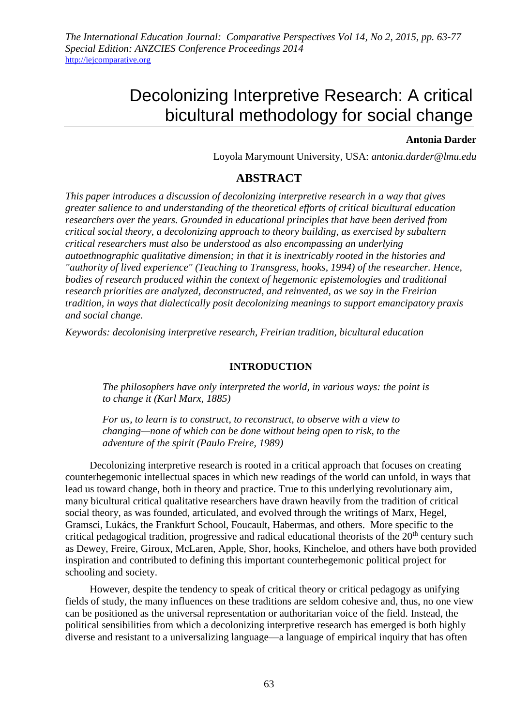*The International Education Journal: Comparative Perspectives Vol 14, No 2, 2015, pp. 63-77 Special Edition: ANZCIES Conference Proceedings 2014* [http://iejcomparative.org](http://iejcomparative.org/)

# Decolonizing Interpretive Research: A critical bicultural methodology for social change

## **Antonia Darder**

Loyola Marymount University, USA: *antonia.darder@lmu.edu*

# **ABSTRACT**

*This paper introduces a discussion of decolonizing interpretive research in a way that gives greater salience to and understanding of the theoretical efforts of critical bicultural education researchers over the years. Grounded in educational principles that have been derived from critical social theory, a decolonizing approach to theory building, as exercised by subaltern critical researchers must also be understood as also encompassing an underlying autoethnographic qualitative dimension; in that it is inextricably rooted in the histories and "authority of lived experience" (Teaching to Transgress, hooks, 1994) of the researcher. Hence, bodies of research produced within the context of hegemonic epistemologies and traditional research priorities are analyzed, deconstructed, and reinvented, as we say in the Freirian tradition, in ways that dialectically posit decolonizing meanings to support emancipatory praxis and social change.*

*Keywords: decolonising interpretive research, Freirian tradition, bicultural education*

## **INTRODUCTION**

*The philosophers have only interpreted the world, in various ways: the point is to change it (Karl Marx, 1885)*

*For us, to learn is to construct, to reconstruct, to observe with a view to changing—none of which can be done without being open to risk, to the adventure of the spirit (Paulo Freire, 1989)* 

Decolonizing interpretive research is rooted in a critical approach that focuses on creating counterhegemonic intellectual spaces in which new readings of the world can unfold, in ways that lead us toward change, both in theory and practice. True to this underlying revolutionary aim, many bicultural critical qualitative researchers have drawn heavily from the tradition of critical social theory, as was founded, articulated, and evolved through the writings of Marx, Hegel, Gramsci, Lukács, the Frankfurt School, Foucault, Habermas, and others. More specific to the critical pedagogical tradition, progressive and radical educational theorists of the  $20<sup>th</sup>$  century such as Dewey, Freire, Giroux, McLaren, Apple, Shor, hooks, Kincheloe, and others have both provided inspiration and contributed to defining this important counterhegemonic political project for schooling and society.

However, despite the tendency to speak of critical theory or critical pedagogy as unifying fields of study, the many influences on these traditions are seldom cohesive and, thus, no one view can be positioned as the universal representation or authoritarian voice of the field. Instead, the political sensibilities from which a decolonizing interpretive research has emerged is both highly diverse and resistant to a universalizing language—a language of empirical inquiry that has often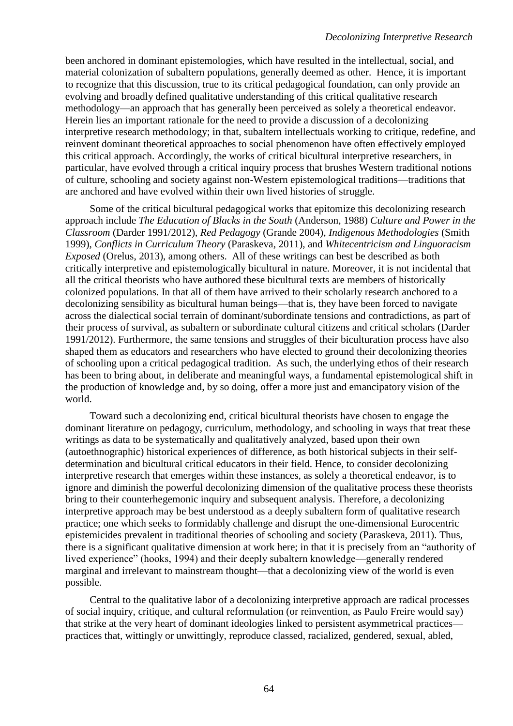been anchored in dominant epistemologies, which have resulted in the intellectual, social, and material colonization of subaltern populations, generally deemed as other. Hence, it is important to recognize that this discussion, true to its critical pedagogical foundation, can only provide an evolving and broadly defined qualitative understanding of this critical qualitative research methodology—an approach that has generally been perceived as solely a theoretical endeavor. Herein lies an important rationale for the need to provide a discussion of a decolonizing interpretive research methodology; in that, subaltern intellectuals working to critique, redefine, and reinvent dominant theoretical approaches to social phenomenon have often effectively employed this critical approach. Accordingly, the works of critical bicultural interpretive researchers, in particular, have evolved through a critical inquiry process that brushes Western traditional notions of culture, schooling and society against non-Western epistemological traditions—traditions that are anchored and have evolved within their own lived histories of struggle.

Some of the critical bicultural pedagogical works that epitomize this decolonizing research approach include *The Education of Blacks in the South* (Anderson, 1988) *Culture and Power in the Classroom* (Darder 1991/2012), *Red Pedagogy* (Grande 2004), *Indigenous Methodologies* (Smith 1999), *Conflicts in Curriculum Theory* (Paraskeva, 2011), and *Whitecentricism and Linguoracism Exposed* (Orelus, 2013), among others. All of these writings can best be described as both critically interpretive and epistemologically bicultural in nature. Moreover, it is not incidental that all the critical theorists who have authored these bicultural texts are members of historically colonized populations. In that all of them have arrived to their scholarly research anchored to a decolonizing sensibility as bicultural human beings—that is, they have been forced to navigate across the dialectical social terrain of dominant/subordinate tensions and contradictions, as part of their process of survival, as subaltern or subordinate cultural citizens and critical scholars (Darder 1991/2012). Furthermore, the same tensions and struggles of their biculturation process have also shaped them as educators and researchers who have elected to ground their decolonizing theories of schooling upon a critical pedagogical tradition. As such, the underlying ethos of their research has been to bring about, in deliberate and meaningful ways, a fundamental epistemological shift in the production of knowledge and, by so doing, offer a more just and emancipatory vision of the world.

Toward such a decolonizing end, critical bicultural theorists have chosen to engage the dominant literature on pedagogy, curriculum, methodology, and schooling in ways that treat these writings as data to be systematically and qualitatively analyzed, based upon their own (autoethnographic) historical experiences of difference, as both historical subjects in their selfdetermination and bicultural critical educators in their field. Hence, to consider decolonizing interpretive research that emerges within these instances, as solely a theoretical endeavor, is to ignore and diminish the powerful decolonizing dimension of the qualitative process these theorists bring to their counterhegemonic inquiry and subsequent analysis. Therefore, a decolonizing interpretive approach may be best understood as a deeply subaltern form of qualitative research practice; one which seeks to formidably challenge and disrupt the one-dimensional Eurocentric epistemicides prevalent in traditional theories of schooling and society (Paraskeva, 2011). Thus, there is a significant qualitative dimension at work here; in that it is precisely from an "authority of lived experience" (hooks, 1994) and their deeply subaltern knowledge—generally rendered marginal and irrelevant to mainstream thought—that a decolonizing view of the world is even possible.

Central to the qualitative labor of a decolonizing interpretive approach are radical processes of social inquiry, critique, and cultural reformulation (or reinvention, as Paulo Freire would say) that strike at the very heart of dominant ideologies linked to persistent asymmetrical practices practices that, wittingly or unwittingly, reproduce classed, racialized, gendered, sexual, abled,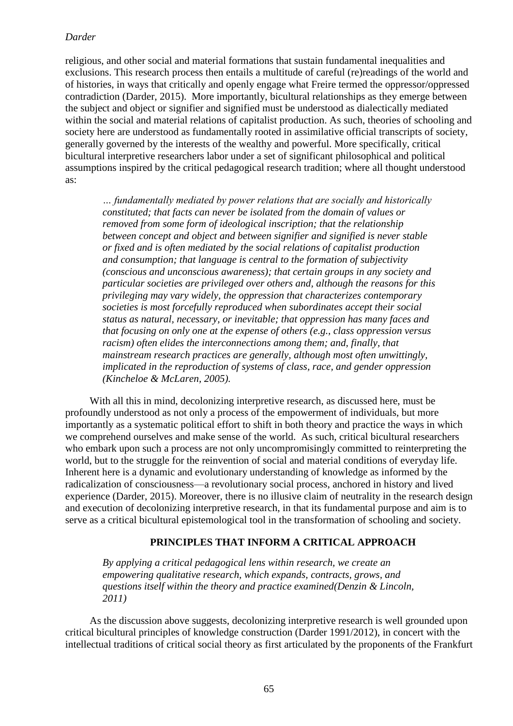religious, and other social and material formations that sustain fundamental inequalities and exclusions. This research process then entails a multitude of careful (re)readings of the world and of histories, in ways that critically and openly engage what Freire termed the oppressor/oppressed contradiction (Darder, 2015). More importantly, bicultural relationships as they emerge between the subject and object or signifier and signified must be understood as dialectically mediated within the social and material relations of capitalist production. As such, theories of schooling and society here are understood as fundamentally rooted in assimilative official transcripts of society, generally governed by the interests of the wealthy and powerful. More specifically, critical bicultural interpretive researchers labor under a set of significant philosophical and political assumptions inspired by the critical pedagogical research tradition; where all thought understood as:

*… fundamentally mediated by power relations that are socially and historically constituted; that facts can never be isolated from the domain of values or removed from some form of ideological inscription; that the relationship between concept and object and between signifier and signified is never stable or fixed and is often mediated by the social relations of capitalist production and consumption; that language is central to the formation of subjectivity (conscious and unconscious awareness); that certain groups in any society and particular societies are privileged over others and, although the reasons for this privileging may vary widely, the oppression that characterizes contemporary societies is most forcefully reproduced when subordinates accept their social status as natural, necessary, or inevitable; that oppression has many faces and that focusing on only one at the expense of others (e.g., class oppression versus*  racism) often elides the interconnections among them; and, finally, that *mainstream research practices are generally, although most often unwittingly, implicated in the reproduction of systems of class, race, and gender oppression (Kincheloe & McLaren, 2005).*

With all this in mind, decolonizing interpretive research, as discussed here, must be profoundly understood as not only a process of the empowerment of individuals, but more importantly as a systematic political effort to shift in both theory and practice the ways in which we comprehend ourselves and make sense of the world. As such, critical bicultural researchers who embark upon such a process are not only uncompromisingly committed to reinterpreting the world, but to the struggle for the reinvention of social and material conditions of everyday life. Inherent here is a dynamic and evolutionary understanding of knowledge as informed by the radicalization of consciousness—a revolutionary social process, anchored in history and lived experience (Darder, 2015). Moreover, there is no illusive claim of neutrality in the research design and execution of decolonizing interpretive research, in that its fundamental purpose and aim is to serve as a critical bicultural epistemological tool in the transformation of schooling and society.

#### **PRINCIPLES THAT INFORM A CRITICAL APPROACH**

*By applying a critical pedagogical lens within research, we create an empowering qualitative research, which expands, contracts, grows, and questions itself within the theory and practice examined(Denzin & Lincoln, 2011)*

As the discussion above suggests, decolonizing interpretive research is well grounded upon critical bicultural principles of knowledge construction (Darder 1991/2012), in concert with the intellectual traditions of critical social theory as first articulated by the proponents of the Frankfurt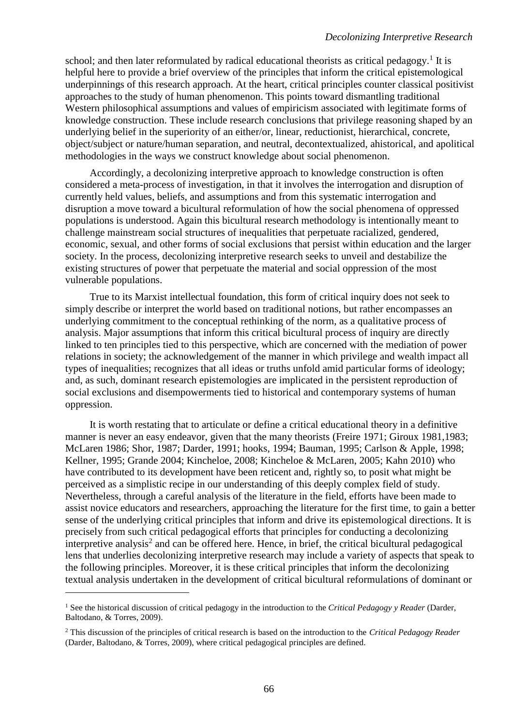school; and then later reformulated by radical educational theorists as critical pedagogy.<sup>1</sup> It is helpful here to provide a brief overview of the principles that inform the critical epistemological underpinnings of this research approach. At the heart, critical principles counter classical positivist approaches to the study of human phenomenon. This points toward dismantling traditional Western philosophical assumptions and values of empiricism associated with legitimate forms of knowledge construction. These include research conclusions that privilege reasoning shaped by an underlying belief in the superiority of an either/or, linear, reductionist, hierarchical, concrete, object/subject or nature/human separation, and neutral, decontextualized, ahistorical, and apolitical methodologies in the ways we construct knowledge about social phenomenon.

Accordingly, a decolonizing interpretive approach to knowledge construction is often considered a meta-process of investigation, in that it involves the interrogation and disruption of currently held values, beliefs, and assumptions and from this systematic interrogation and disruption a move toward a bicultural reformulation of how the social phenomena of oppressed populations is understood. Again this bicultural research methodology is intentionally meant to challenge mainstream social structures of inequalities that perpetuate racialized, gendered, economic, sexual, and other forms of social exclusions that persist within education and the larger society. In the process, decolonizing interpretive research seeks to unveil and destabilize the existing structures of power that perpetuate the material and social oppression of the most vulnerable populations.

True to its Marxist intellectual foundation, this form of critical inquiry does not seek to simply describe or interpret the world based on traditional notions, but rather encompasses an underlying commitment to the conceptual rethinking of the norm, as a qualitative process of analysis. Major assumptions that inform this critical bicultural process of inquiry are directly linked to ten principles tied to this perspective, which are concerned with the mediation of power relations in society; the acknowledgement of the manner in which privilege and wealth impact all types of inequalities; recognizes that all ideas or truths unfold amid particular forms of ideology; and, as such, dominant research epistemologies are implicated in the persistent reproduction of social exclusions and disempowerments tied to historical and contemporary systems of human oppression.

It is worth restating that to articulate or define a critical educational theory in a definitive manner is never an easy endeavor, given that the many theorists (Freire 1971; Giroux 1981,1983; McLaren 1986; Shor, 1987; Darder, 1991; hooks, 1994; Bauman, 1995; Carlson & Apple, 1998; Kellner, 1995; Grande 2004; Kincheloe, 2008; Kincheloe & McLaren, 2005; Kahn 2010) who have contributed to its development have been reticent and, rightly so, to posit what might be perceived as a simplistic recipe in our understanding of this deeply complex field of study. Nevertheless, through a careful analysis of the literature in the field, efforts have been made to assist novice educators and researchers, approaching the literature for the first time, to gain a better sense of the underlying critical principles that inform and drive its epistemological directions. It is precisely from such critical pedagogical efforts that principles for conducting a decolonizing interpretive analysis<sup>2</sup> and can be offered here. Hence, in brief, the critical bicultural pedagogical lens that underlies decolonizing interpretive research may include a variety of aspects that speak to the following principles. Moreover, it is these critical principles that inform the decolonizing textual analysis undertaken in the development of critical bicultural reformulations of dominant or

 $\overline{a}$ 

<sup>1</sup> See the historical discussion of critical pedagogy in the introduction to the *Critical Pedagogy y Reader* (Darder, Baltodano, & Torres, 2009).

<sup>2</sup> This discussion of the principles of critical research is based on the introduction to the *Critical Pedagogy Reader* (Darder, Baltodano, & Torres, 2009), where critical pedagogical principles are defined.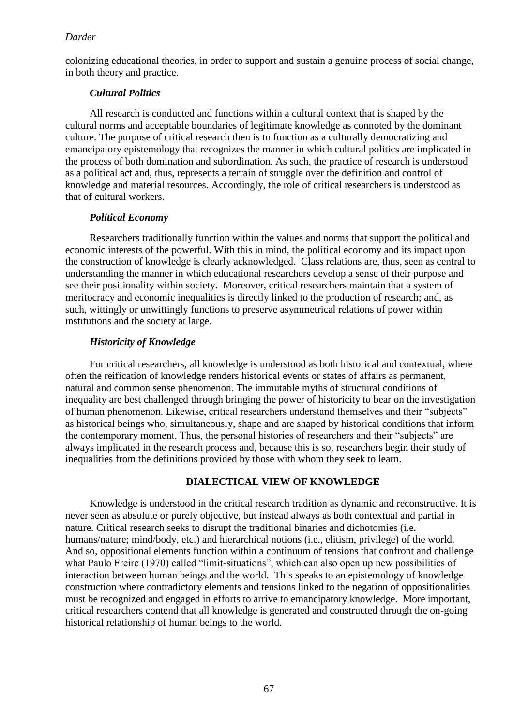colonizing educational theories, in order to support and sustain a genuine process of social change, in both theory and practice.

# *Cultural Politics*

All research is conducted and functions within a cultural context that is shaped by the cultural norms and acceptable boundaries of legitimate knowledge as connoted by the dominant culture. The purpose of critical research then is to function as a culturally democratizing and emancipatory epistemology that recognizes the manner in which cultural politics are implicated in the process of both domination and subordination. As such, the practice of research is understood as a political act and, thus, represents a terrain of struggle over the definition and control of knowledge and material resources. Accordingly, the role of critical researchers is understood as that of cultural workers.

# *Political Economy*

Researchers traditionally function within the values and norms that support the political and economic interests of the powerful. With this in mind, the political economy and its impact upon the construction of knowledge is clearly acknowledged. Class relations are, thus, seen as central to understanding the manner in which educational researchers develop a sense of their purpose and see their positionality within society. Moreover, critical researchers maintain that a system of meritocracy and economic inequalities is directly linked to the production of research; and, as such, wittingly or unwittingly functions to preserve asymmetrical relations of power within institutions and the society at large.

# *Historicity of Knowledge*

For critical researchers, all knowledge is understood as both historical and contextual, where often the reification of knowledge renders historical events or states of affairs as permanent, natural and common sense phenomenon. The immutable myths of structural conditions of inequality are best challenged through bringing the power of historicity to bear on the investigation of human phenomenon. Likewise, critical researchers understand themselves and their "subjects" as historical beings who, simultaneously, shape and are shaped by historical conditions that inform the contemporary moment. Thus, the personal histories of researchers and their "subjects" are always implicated in the research process and, because this is so, researchers begin their study of inequalities from the definitions provided by those with whom they seek to learn.

# **DIALECTICAL VIEW OF KNOWLEDGE**

Knowledge is understood in the critical research tradition as dynamic and reconstructive. It is never seen as absolute or purely objective, but instead always as both contextual and partial in nature. Critical research seeks to disrupt the traditional binaries and dichotomies (i.e. humans/nature; mind/body, etc.) and hierarchical notions (i.e., elitism, privilege) of the world. And so, oppositional elements function within a continuum of tensions that confront and challenge what Paulo Freire (1970) called "limit-situations", which can also open up new possibilities of interaction between human beings and the world. This speaks to an epistemology of knowledge construction where contradictory elements and tensions linked to the negation of oppositionalities must be recognized and engaged in efforts to arrive to emancipatory knowledge. More important, critical researchers contend that all knowledge is generated and constructed through the on-going historical relationship of human beings to the world.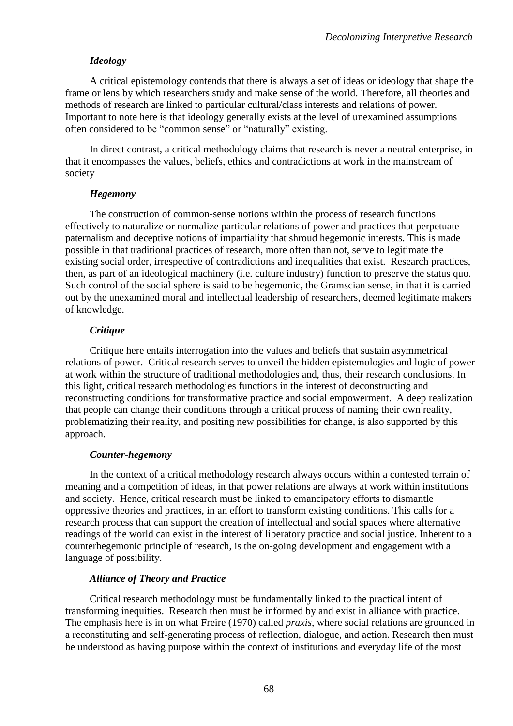# *Ideology*

A critical epistemology contends that there is always a set of ideas or ideology that shape the frame or lens by which researchers study and make sense of the world. Therefore, all theories and methods of research are linked to particular cultural/class interests and relations of power. Important to note here is that ideology generally exists at the level of unexamined assumptions often considered to be "common sense" or "naturally" existing.

In direct contrast, a critical methodology claims that research is never a neutral enterprise, in that it encompasses the values, beliefs, ethics and contradictions at work in the mainstream of society

# *Hegemony*

The construction of common-sense notions within the process of research functions effectively to naturalize or normalize particular relations of power and practices that perpetuate paternalism and deceptive notions of impartiality that shroud hegemonic interests. This is made possible in that traditional practices of research, more often than not, serve to legitimate the existing social order, irrespective of contradictions and inequalities that exist. Research practices, then, as part of an ideological machinery (i.e. culture industry) function to preserve the status quo. Such control of the social sphere is said to be hegemonic, the Gramscian sense, in that it is carried out by the unexamined moral and intellectual leadership of researchers, deemed legitimate makers of knowledge.

# *Critique*

Critique here entails interrogation into the values and beliefs that sustain asymmetrical relations of power. Critical research serves to unveil the hidden epistemologies and logic of power at work within the structure of traditional methodologies and, thus, their research conclusions. In this light, critical research methodologies functions in the interest of deconstructing and reconstructing conditions for transformative practice and social empowerment. A deep realization that people can change their conditions through a critical process of naming their own reality, problematizing their reality, and positing new possibilities for change, is also supported by this approach.

# *Counter-hegemony*

In the context of a critical methodology research always occurs within a contested terrain of meaning and a competition of ideas, in that power relations are always at work within institutions and society. Hence, critical research must be linked to emancipatory efforts to dismantle oppressive theories and practices, in an effort to transform existing conditions. This calls for a research process that can support the creation of intellectual and social spaces where alternative readings of the world can exist in the interest of liberatory practice and social justice. Inherent to a counterhegemonic principle of research, is the on-going development and engagement with a language of possibility.

# *Alliance of Theory and Practice*

Critical research methodology must be fundamentally linked to the practical intent of transforming inequities. Research then must be informed by and exist in alliance with practice. The emphasis here is in on what Freire (1970) called *praxis*, where social relations are grounded in a reconstituting and self-generating process of reflection, dialogue, and action. Research then must be understood as having purpose within the context of institutions and everyday life of the most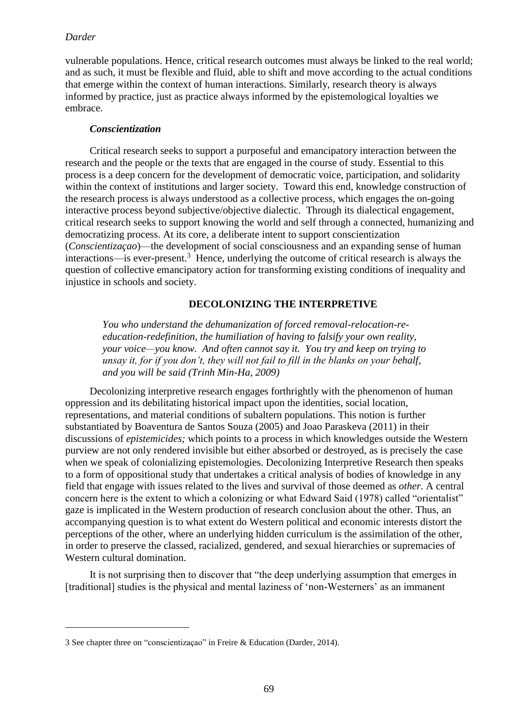$\overline{a}$ 

vulnerable populations. Hence, critical research outcomes must always be linked to the real world; and as such, it must be flexible and fluid, able to shift and move according to the actual conditions that emerge within the context of human interactions. Similarly, research theory is always informed by practice, just as practice always informed by the epistemological loyalties we embrace.

# *Conscientization*

Critical research seeks to support a purposeful and emancipatory interaction between the research and the people or the texts that are engaged in the course of study. Essential to this process is a deep concern for the development of democratic voice, participation, and solidarity within the context of institutions and larger society. Toward this end, knowledge construction of the research process is always understood as a collective process, which engages the on-going interactive process beyond subjective/objective dialectic. Through its dialectical engagement, critical research seeks to support knowing the world and self through a connected, humanizing and democratizing process. At its core, a deliberate intent to support conscientization (*Conscientizaçao*)—the development of social consciousness and an expanding sense of human  $interactions$ —is ever-present.<sup>3</sup> Hence, underlying the outcome of critical research is always the question of collective emancipatory action for transforming existing conditions of inequality and injustice in schools and society.

# **DECOLONIZING THE INTERPRETIVE**

*You who understand the dehumanization of forced removal-relocation-reeducation-redefinition, the humiliation of having to falsify your own reality, your voice—you know. And often cannot say it. You try and keep on trying to unsay it, for if you don't, they will not fail to fill in the blanks on your behalf, and you will be said (Trinh Min-Ha, 2009)*

Decolonizing interpretive research engages forthrightly with the phenomenon of human oppression and its debilitating historical impact upon the identities, social location, representations, and material conditions of subaltern populations. This notion is further substantiated by Boaventura de Santos Souza (2005) and Joao Paraskeva (2011) in their discussions of *epistemicides;* which points to a process in which knowledges outside the Western purview are not only rendered invisible but either absorbed or destroyed, as is precisely the case when we speak of colonializing epistemologies. Decolonizing Interpretive Research then speaks to a form of oppositional study that undertakes a critical analysis of bodies of knowledge in any field that engage with issues related to the lives and survival of those deemed as *other*. A central concern here is the extent to which a colonizing or what Edward Said (1978) called "orientalist" gaze is implicated in the Western production of research conclusion about the other. Thus, an accompanying question is to what extent do Western political and economic interests distort the perceptions of the other, where an underlying hidden curriculum is the assimilation of the other, in order to preserve the classed, racialized, gendered, and sexual hierarchies or supremacies of Western cultural domination.

It is not surprising then to discover that "the deep underlying assumption that emerges in [traditional] studies is the physical and mental laziness of 'non-Westerners' as an immanent

<sup>3</sup> See chapter three on "conscientizaçao" in Freire & Education (Darder, 2014).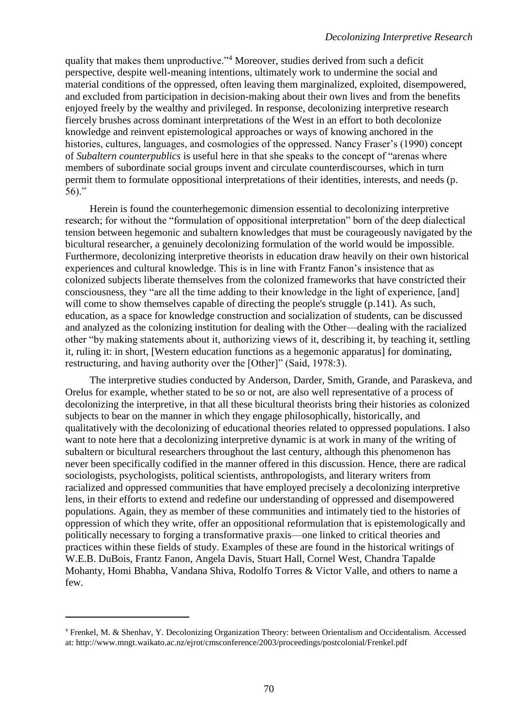quality that makes them unproductive."<sup>4</sup> Moreover, studies derived from such a deficit perspective, despite well-meaning intentions, ultimately work to undermine the social and material conditions of the oppressed, often leaving them marginalized, exploited, disempowered, and excluded from participation in decision-making about their own lives and from the benefits enjoyed freely by the wealthy and privileged. In response, decolonizing interpretive research fiercely brushes across dominant interpretations of the West in an effort to both decolonize knowledge and reinvent epistemological approaches or ways of knowing anchored in the histories, cultures, languages, and cosmologies of the oppressed. Nancy Fraser's (1990) concept of *Subaltern counterpublics* is useful here in that she speaks to the concept of "arenas where members of subordinate social groups invent and circulate counterdiscourses, which in turn permit them to formulate oppositional interpretations of their identities, interests, and needs (p. 56)."

Herein is found the counterhegemonic dimension essential to decolonizing interpretive research; for without the "formulation of oppositional interpretation" born of the deep dialectical tension between hegemonic and subaltern knowledges that must be courageously navigated by the bicultural researcher, a genuinely decolonizing formulation of the world would be impossible. Furthermore, decolonizing interpretive theorists in education draw heavily on their own historical experiences and cultural knowledge. This is in line with Frantz Fanon's insistence that as colonized subjects liberate themselves from the colonized frameworks that have constricted their consciousness, they "are all the time adding to their knowledge in the light of experience, [and] will come to show themselves capable of directing the people's struggle (p.141). As such, education, as a space for knowledge construction and socialization of students, can be discussed and analyzed as the colonizing institution for dealing with the Other—dealing with the racialized other "by making statements about it, authorizing views of it, describing it, by teaching it, settling it, ruling it: in short, [Western education functions as a hegemonic apparatus] for dominating, restructuring, and having authority over the [Other]" (Said, 1978:3).

The interpretive studies conducted by Anderson, Darder, Smith, Grande, and Paraskeva, and Orelus for example, whether stated to be so or not, are also well representative of a process of decolonizing the interpretive, in that all these bicultural theorists bring their histories as colonized subjects to bear on the manner in which they engage philosophically, historically, and qualitatively with the decolonizing of educational theories related to oppressed populations. I also want to note here that a decolonizing interpretive dynamic is at work in many of the writing of subaltern or bicultural researchers throughout the last century, although this phenomenon has never been specifically codified in the manner offered in this discussion. Hence, there are radical sociologists, psychologists, political scientists, anthropologists, and literary writers from racialized and oppressed communities that have employed precisely a decolonizing interpretive lens, in their efforts to extend and redefine our understanding of oppressed and disempowered populations. Again, they as member of these communities and intimately tied to the histories of oppression of which they write, offer an oppositional reformulation that is epistemologically and politically necessary to forging a transformative praxis—one linked to critical theories and practices within these fields of study. Examples of these are found in the historical writings of W.E.B. DuBois, Frantz Fanon, Angela Davis, Stuart Hall, Cornel West, Chandra Tapalde Mohanty, Homi Bhabha, Vandana Shiva, Rodolfo Torres & Victor Valle, and others to name a few.

 $\overline{a}$ 

<sup>4</sup> Frenkel, M. & Shenhav, Y. Decolonizing Organization Theory: between Orientalism and Occidentalism. Accessed at: http://www.mngt.waikato.ac.nz/ejrot/cmsconference/2003/proceedings/postcolonial/Frenkel.pdf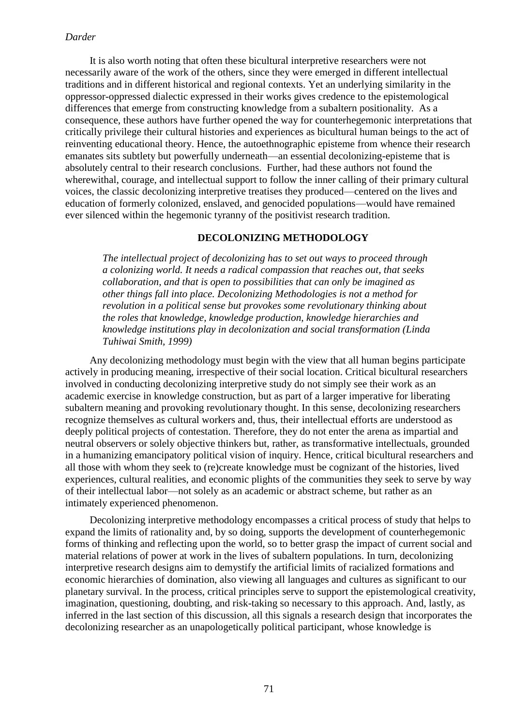It is also worth noting that often these bicultural interpretive researchers were not necessarily aware of the work of the others, since they were emerged in different intellectual traditions and in different historical and regional contexts. Yet an underlying similarity in the oppressor-oppressed dialectic expressed in their works gives credence to the epistemological differences that emerge from constructing knowledge from a subaltern positionality. As a consequence, these authors have further opened the way for counterhegemonic interpretations that critically privilege their cultural histories and experiences as bicultural human beings to the act of reinventing educational theory. Hence, the autoethnographic episteme from whence their research emanates sits subtlety but powerfully underneath—an essential decolonizing-episteme that is absolutely central to their research conclusions. Further, had these authors not found the wherewithal, courage, and intellectual support to follow the inner calling of their primary cultural voices, the classic decolonizing interpretive treatises they produced—centered on the lives and education of formerly colonized, enslaved, and genocided populations—would have remained ever silenced within the hegemonic tyranny of the positivist research tradition.

#### **DECOLONIZING METHODOLOGY**

*The intellectual project of decolonizing has to set out ways to proceed through a colonizing world. It needs a radical compassion that reaches out, that seeks collaboration, and that is open to possibilities that can only be imagined as other things fall into place. Decolonizing Methodologies is not a method for revolution in a political sense but provokes some revolutionary thinking about the roles that knowledge, knowledge production, knowledge hierarchies and knowledge institutions play in decolonization and social transformation (Linda Tuhiwai Smith, 1999)*

Any decolonizing methodology must begin with the view that all human begins participate actively in producing meaning, irrespective of their social location. Critical bicultural researchers involved in conducting decolonizing interpretive study do not simply see their work as an academic exercise in knowledge construction, but as part of a larger imperative for liberating subaltern meaning and provoking revolutionary thought. In this sense, decolonizing researchers recognize themselves as cultural workers and, thus, their intellectual efforts are understood as deeply political projects of contestation. Therefore, they do not enter the arena as impartial and neutral observers or solely objective thinkers but, rather, as transformative intellectuals, grounded in a humanizing emancipatory political vision of inquiry. Hence, critical bicultural researchers and all those with whom they seek to (re)create knowledge must be cognizant of the histories, lived experiences, cultural realities, and economic plights of the communities they seek to serve by way of their intellectual labor—not solely as an academic or abstract scheme, but rather as an intimately experienced phenomenon.

Decolonizing interpretive methodology encompasses a critical process of study that helps to expand the limits of rationality and, by so doing, supports the development of counterhegemonic forms of thinking and reflecting upon the world, so to better grasp the impact of current social and material relations of power at work in the lives of subaltern populations. In turn, decolonizing interpretive research designs aim to demystify the artificial limits of racialized formations and economic hierarchies of domination, also viewing all languages and cultures as significant to our planetary survival. In the process, critical principles serve to support the epistemological creativity, imagination, questioning, doubting, and risk-taking so necessary to this approach. And, lastly, as inferred in the last section of this discussion, all this signals a research design that incorporates the decolonizing researcher as an unapologetically political participant, whose knowledge is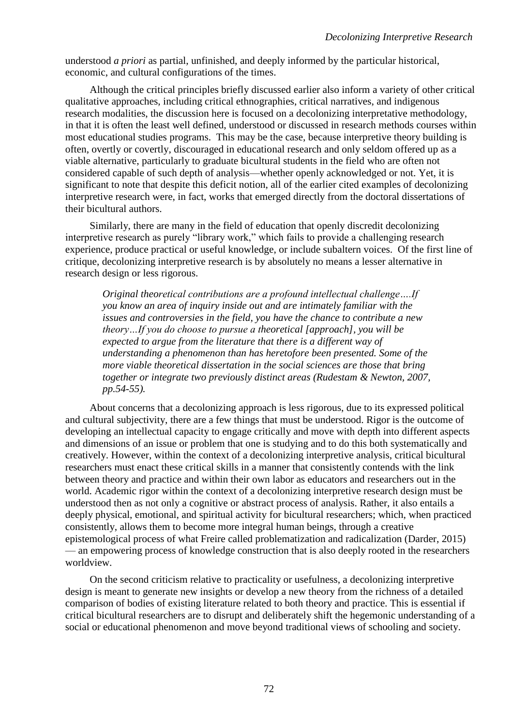understood *a priori* as partial, unfinished, and deeply informed by the particular historical, economic, and cultural configurations of the times.

Although the critical principles briefly discussed earlier also inform a variety of other critical qualitative approaches, including critical ethnographies, critical narratives, and indigenous research modalities, the discussion here is focused on a decolonizing interpretative methodology, in that it is often the least well defined, understood or discussed in research methods courses within most educational studies programs. This may be the case, because interpretive theory building is often, overtly or covertly, discouraged in educational research and only seldom offered up as a viable alternative, particularly to graduate bicultural students in the field who are often not considered capable of such depth of analysis—whether openly acknowledged or not. Yet, it is significant to note that despite this deficit notion, all of the earlier cited examples of decolonizing interpretive research were, in fact, works that emerged directly from the doctoral dissertations of their bicultural authors.

Similarly, there are many in the field of education that openly discredit decolonizing interpretive research as purely "library work," which fails to provide a challenging research experience, produce practical or useful knowledge, or include subaltern voices. Of the first line of critique, decolonizing interpretive research is by absolutely no means a lesser alternative in research design or less rigorous.

*Original theoretical contributions are a profound intellectual challenge….If you know an area of inquiry inside out and are intimately familiar with the issues and controversies in the field, you have the chance to contribute a new theory…If you do choose to pursue a theoretical [approach], you will be expected to argue from the literature that there is a different way of understanding a phenomenon than has heretofore been presented. Some of the more viable theoretical dissertation in the social sciences are those that bring together or integrate two previously distinct areas (Rudestam & Newton, 2007, pp.54-55).*

About concerns that a decolonizing approach is less rigorous, due to its expressed political and cultural subjectivity, there are a few things that must be understood. Rigor is the outcome of developing an intellectual capacity to engage critically and move with depth into different aspects and dimensions of an issue or problem that one is studying and to do this both systematically and creatively. However, within the context of a decolonizing interpretive analysis, critical bicultural researchers must enact these critical skills in a manner that consistently contends with the link between theory and practice and within their own labor as educators and researchers out in the world. Academic rigor within the context of a decolonizing interpretive research design must be understood then as not only a cognitive or abstract process of analysis. Rather, it also entails a deeply physical, emotional, and spiritual activity for bicultural researchers; which, when practiced consistently, allows them to become more integral human beings, through a creative epistemological process of what Freire called problematization and radicalization (Darder, 2015) — an empowering process of knowledge construction that is also deeply rooted in the researchers worldview.

On the second criticism relative to practicality or usefulness, a decolonizing interpretive design is meant to generate new insights or develop a new theory from the richness of a detailed comparison of bodies of existing literature related to both theory and practice. This is essential if critical bicultural researchers are to disrupt and deliberately shift the hegemonic understanding of a social or educational phenomenon and move beyond traditional views of schooling and society.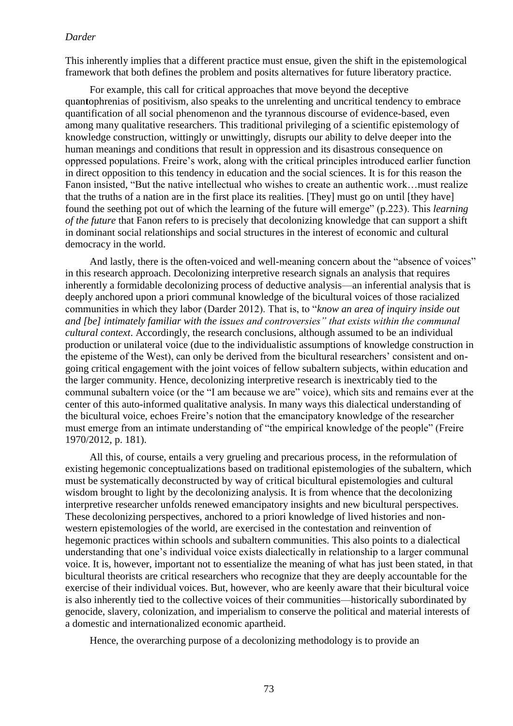This inherently implies that a different practice must ensue, given the shift in the epistemological framework that both defines the problem and posits alternatives for future liberatory practice.

For example, this call for critical approaches that move beyond the deceptive quan**t**ophrenias of positivism, also speaks to the unrelenting and uncritical tendency to embrace quantification of all social phenomenon and the tyrannous discourse of evidence-based, even among many qualitative researchers. This traditional privileging of a scientific epistemology of knowledge construction, wittingly or unwittingly, disrupts our ability to delve deeper into the human meanings and conditions that result in oppression and its disastrous consequence on oppressed populations. Freire's work, along with the critical principles introduced earlier function in direct opposition to this tendency in education and the social sciences. It is for this reason the Fanon insisted, "But the native intellectual who wishes to create an authentic work…must realize that the truths of a nation are in the first place its realities. [They] must go on until [they have] found the seething pot out of which the learning of the future will emerge" (p.223). This *learning of the future* that Fanon refers to is precisely that decolonizing knowledge that can support a shift in dominant social relationships and social structures in the interest of economic and cultural democracy in the world.

And lastly, there is the often-voiced and well-meaning concern about the "absence of voices" in this research approach. Decolonizing interpretive research signals an analysis that requires inherently a formidable decolonizing process of deductive analysis—an inferential analysis that is deeply anchored upon a priori communal knowledge of the bicultural voices of those racialized communities in which they labor (Darder 2012). That is, to "*know an area of inquiry inside out and [be] intimately familiar with the issues and controversies" that exists within the communal cultural context*. Accordingly, the research conclusions, although assumed to be an individual production or unilateral voice (due to the individualistic assumptions of knowledge construction in the episteme of the West), can only be derived from the bicultural researchers' consistent and ongoing critical engagement with the joint voices of fellow subaltern subjects, within education and the larger community. Hence, decolonizing interpretive research is inextricably tied to the communal subaltern voice (or the "I am because we are" voice), which sits and remains ever at the center of this auto-informed qualitative analysis. In many ways this dialectical understanding of the bicultural voice, echoes Freire's notion that the emancipatory knowledge of the researcher must emerge from an intimate understanding of "the empirical knowledge of the people" (Freire 1970/2012, p. 181).

All this, of course, entails a very grueling and precarious process, in the reformulation of existing hegemonic conceptualizations based on traditional epistemologies of the subaltern, which must be systematically deconstructed by way of critical bicultural epistemologies and cultural wisdom brought to light by the decolonizing analysis. It is from whence that the decolonizing interpretive researcher unfolds renewed emancipatory insights and new bicultural perspectives. These decolonizing perspectives, anchored to a priori knowledge of lived histories and nonwestern epistemologies of the world, are exercised in the contestation and reinvention of hegemonic practices within schools and subaltern communities. This also points to a dialectical understanding that one's individual voice exists dialectically in relationship to a larger communal voice. It is, however, important not to essentialize the meaning of what has just been stated, in that bicultural theorists are critical researchers who recognize that they are deeply accountable for the exercise of their individual voices. But, however, who are keenly aware that their bicultural voice is also inherently tied to the collective voices of their communities—historically subordinated by genocide, slavery, colonization, and imperialism to conserve the political and material interests of a domestic and internationalized economic apartheid.

Hence, the overarching purpose of a decolonizing methodology is to provide an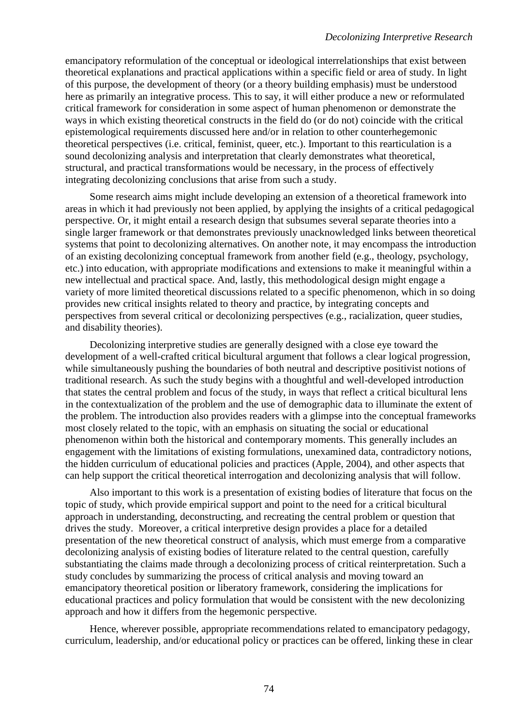emancipatory reformulation of the conceptual or ideological interrelationships that exist between theoretical explanations and practical applications within a specific field or area of study. In light of this purpose, the development of theory (or a theory building emphasis) must be understood here as primarily an integrative process. This to say, it will either produce a new or reformulated critical framework for consideration in some aspect of human phenomenon or demonstrate the ways in which existing theoretical constructs in the field do (or do not) coincide with the critical epistemological requirements discussed here and/or in relation to other counterhegemonic theoretical perspectives (i.e. critical, feminist, queer, etc.). Important to this rearticulation is a sound decolonizing analysis and interpretation that clearly demonstrates what theoretical, structural, and practical transformations would be necessary, in the process of effectively integrating decolonizing conclusions that arise from such a study.

Some research aims might include developing an extension of a theoretical framework into areas in which it had previously not been applied, by applying the insights of a critical pedagogical perspective. Or, it might entail a research design that subsumes several separate theories into a single larger framework or that demonstrates previously unacknowledged links between theoretical systems that point to decolonizing alternatives. On another note, it may encompass the introduction of an existing decolonizing conceptual framework from another field (e.g., theology, psychology, etc.) into education, with appropriate modifications and extensions to make it meaningful within a new intellectual and practical space. And, lastly, this methodological design might engage a variety of more limited theoretical discussions related to a specific phenomenon, which in so doing provides new critical insights related to theory and practice, by integrating concepts and perspectives from several critical or decolonizing perspectives (e.g., racialization, queer studies, and disability theories).

Decolonizing interpretive studies are generally designed with a close eye toward the development of a well-crafted critical bicultural argument that follows a clear logical progression, while simultaneously pushing the boundaries of both neutral and descriptive positivist notions of traditional research. As such the study begins with a thoughtful and well-developed introduction that states the central problem and focus of the study, in ways that reflect a critical bicultural lens in the contextualization of the problem and the use of demographic data to illuminate the extent of the problem. The introduction also provides readers with a glimpse into the conceptual frameworks most closely related to the topic, with an emphasis on situating the social or educational phenomenon within both the historical and contemporary moments. This generally includes an engagement with the limitations of existing formulations, unexamined data, contradictory notions, the hidden curriculum of educational policies and practices (Apple, 2004), and other aspects that can help support the critical theoretical interrogation and decolonizing analysis that will follow.

Also important to this work is a presentation of existing bodies of literature that focus on the topic of study, which provide empirical support and point to the need for a critical bicultural approach in understanding, deconstructing, and recreating the central problem or question that drives the study. Moreover, a critical interpretive design provides a place for a detailed presentation of the new theoretical construct of analysis, which must emerge from a comparative decolonizing analysis of existing bodies of literature related to the central question, carefully substantiating the claims made through a decolonizing process of critical reinterpretation. Such a study concludes by summarizing the process of critical analysis and moving toward an emancipatory theoretical position or liberatory framework, considering the implications for educational practices and policy formulation that would be consistent with the new decolonizing approach and how it differs from the hegemonic perspective.

Hence, wherever possible, appropriate recommendations related to emancipatory pedagogy, curriculum, leadership, and/or educational policy or practices can be offered, linking these in clear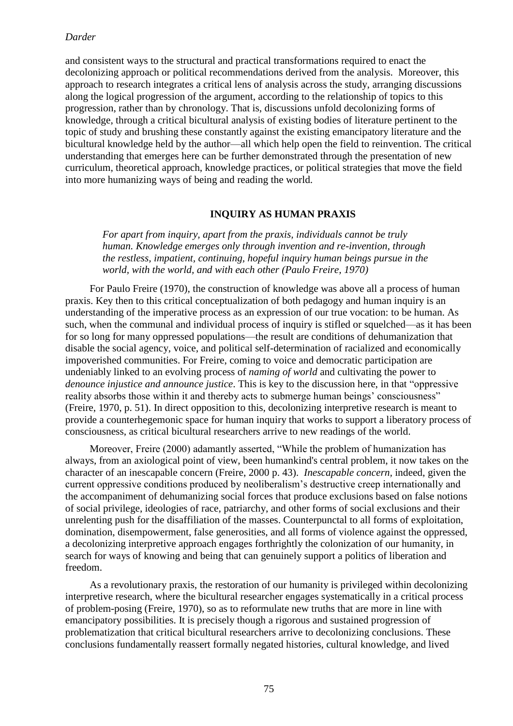and consistent ways to the structural and practical transformations required to enact the decolonizing approach or political recommendations derived from the analysis. Moreover, this approach to research integrates a critical lens of analysis across the study, arranging discussions along the logical progression of the argument, according to the relationship of topics to this progression, rather than by chronology. That is, discussions unfold decolonizing forms of knowledge, through a critical bicultural analysis of existing bodies of literature pertinent to the topic of study and brushing these constantly against the existing emancipatory literature and the bicultural knowledge held by the author—all which help open the field to reinvention. The critical understanding that emerges here can be further demonstrated through the presentation of new curriculum, theoretical approach, knowledge practices, or political strategies that move the field into more humanizing ways of being and reading the world.

# **INQUIRY AS HUMAN PRAXIS**

*For apart from inquiry, apart from the praxis, individuals cannot be truly human. Knowledge emerges only through invention and re-invention, through the restless, impatient, continuing, hopeful inquiry human beings pursue in the world, with the world, and with each other (Paulo Freire, 1970)* 

For Paulo Freire (1970), the construction of knowledge was above all a process of human praxis. Key then to this critical conceptualization of both pedagogy and human inquiry is an understanding of the imperative process as an expression of our true vocation: to be human. As such, when the communal and individual process of inquiry is stifled or squelched—as it has been for so long for many oppressed populations—the result are conditions of dehumanization that disable the social agency, voice, and political self-determination of racialized and economically impoverished communities. For Freire, coming to voice and democratic participation are undeniably linked to an evolving process of *naming of world* and cultivating the power to *denounce injustice and announce justice*. This is key to the discussion here, in that "oppressive reality absorbs those within it and thereby acts to submerge human beings' consciousness" (Freire, 1970, p. 51). In direct opposition to this, decolonizing interpretive research is meant to provide a counterhegemonic space for human inquiry that works to support a liberatory process of consciousness, as critical bicultural researchers arrive to new readings of the world.

Moreover, Freire (2000) adamantly asserted, "While the problem of humanization has always, from an axiological point of view, been humankind's central problem, it now takes on the character of an inescapable concern (Freire, 2000 p. 43). *Inescapable concern,* indeed, given the current oppressive conditions produced by neoliberalism's destructive creep internationally and the accompaniment of dehumanizing social forces that produce exclusions based on false notions of social privilege, ideologies of race, patriarchy, and other forms of social exclusions and their unrelenting push for the disaffiliation of the masses. Counterpunctal to all forms of exploitation, domination, disempowerment, false generosities, and all forms of violence against the oppressed, a decolonizing interpretive approach engages forthrightly the colonization of our humanity, in search for ways of knowing and being that can genuinely support a politics of liberation and freedom.

As a revolutionary praxis, the restoration of our humanity is privileged within decolonizing interpretive research, where the bicultural researcher engages systematically in a critical process of problem-posing (Freire, 1970), so as to reformulate new truths that are more in line with emancipatory possibilities. It is precisely though a rigorous and sustained progression of problematization that critical bicultural researchers arrive to decolonizing conclusions. These conclusions fundamentally reassert formally negated histories, cultural knowledge, and lived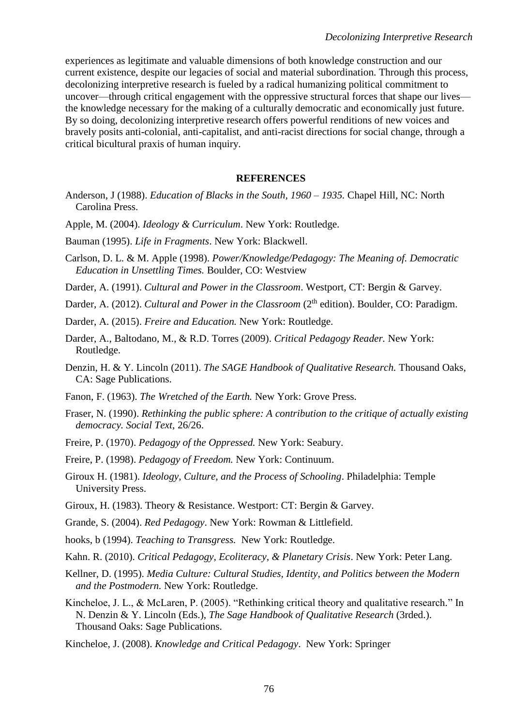experiences as legitimate and valuable dimensions of both knowledge construction and our current existence, despite our legacies of social and material subordination. Through this process, decolonizing interpretive research is fueled by a radical humanizing political commitment to uncover—through critical engagement with the oppressive structural forces that shape our lives the knowledge necessary for the making of a culturally democratic and economically just future. By so doing, decolonizing interpretive research offers powerful renditions of new voices and bravely posits anti-colonial, anti-capitalist, and anti-racist directions for social change, through a critical bicultural praxis of human inquiry.

#### **REFERENCES**

- Anderson, J (1988). *Education of Blacks in the South, 1960 – 1935.* Chapel Hill, NC: North Carolina Press.
- Apple, M. (2004). *Ideology & Curriculum*. New York: Routledge.
- Bauman (1995). *Life in Fragments*. New York: Blackwell.
- Carlson, D. L. & M. Apple (1998). *Power/Knowledge/Pedagogy: The Meaning of. Democratic Education in Unsettling Times.* Boulder, CO: Westview
- Darder, A. (1991). *Cultural and Power in the Classroom*. Westport, CT: Bergin & Garvey.
- Darder, A. (2012). *Cultural and Power in the Classroom* (2<sup>th</sup> edition). Boulder, CO: Paradigm.
- Darder, A. (2015). *Freire and Education.* New York: Routledge.
- Darder, A., Baltodano, M., & R.D. Torres (2009). *Critical Pedagogy Reader.* New York: Routledge.
- Denzin, H. & Y. Lincoln (2011). *The SAGE Handbook of Qualitative Research.* Thousand Oaks, CA: Sage Publications.
- Fanon, F. (1963). *The Wretched of the Earth.* New York: Grove Press.
- Fraser, N. (1990). *Rethinking the public sphere: A contribution to the critique of actually existing democracy. Social Text,* 26/26.
- Freire, P. (1970). *Pedagogy of the Oppressed.* New York: Seabury.
- Freire, P. (1998). *Pedagogy of Freedom.* New York: Continuum.
- Giroux H. (1981). *Ideology, Culture, and the Process of Schooling*. Philadelphia: Temple University Press.
- Giroux, H. (1983). Theory & Resistance. Westport: CT: Bergin & Garvey.
- Grande, S. (2004). *Red Pedagogy*. New York: Rowman & Littlefield.
- hooks, b (1994). *Teaching to Transgress.* New York: Routledge.
- Kahn. R. (2010). *Critical Pedagogy, Ecoliteracy, & Planetary Crisis*. New York: Peter Lang.
- Kellner, D. (1995). *Media Culture: Cultural Studies, Identity, and Politics between the Modern and the Postmodern.* New York: Routledge.
- Kincheloe, J. L., & McLaren, P. (2005). "Rethinking critical theory and qualitative research*.*" In N. Denzin & Y. Lincoln (Eds.), *The Sage Handbook of Qualitative Research* (3rded.). Thousand Oaks: Sage Publications.
- Kincheloe, J. (2008). *Knowledge and Critical Pedagogy*. New York: Springer